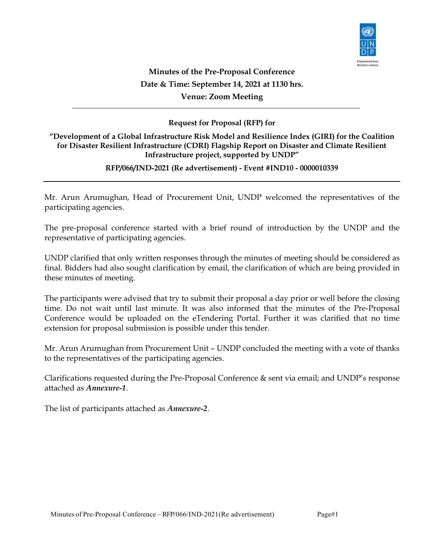

# Minutes of the Pre-Proposal Conference Date & Time: September 14, 2021 at 1130 hrs. Venue: Zoom Meeting

# Request for Proposal (RFP) for

# "Development of a Global Infrastructure Risk Model and Resilience Index (GIRI) for the Coalition for Disaster Resilient Infrastructure (CDRI) Flagship Report on Disaster and Climate Resilient Infrastructure project, supported by UNDP"

### RFP/066/IND-2021 (Re advertisement) - Event #IND10 - 0000010339

Mr. Arun Arumughan, Head of Procurement Unit, UNDP welcomed the representatives of the participating agencies.

The pre‐proposal conference started with a brief round of introduction by the UNDP and the representative of participating agencies.

UNDP clarified that only written responses through the minutes of meeting should be considered as final. Bidders had also sought clarification by email, the clarification of which are being provided in these minutes of meeting.

The participants were advised that try to submit their proposal a day prior or well before the closing time. Do not wait until last minute. It was also informed that the minutes of the Pre-Proposal Conference would be uploaded on the eTendering Portal. Further it was clarified that no time extension for proposal submission is possible under this tender.

Mr. Arun Arumughan from Procurement Unit – UNDP concluded the meeting with a vote of thanks to the representatives of the participating agencies.

Clarifications requested during the Pre‐Proposal Conference & sent via email; and UNDP's response attached as Annexure‐1.

The list of participants attached as Annexure-2.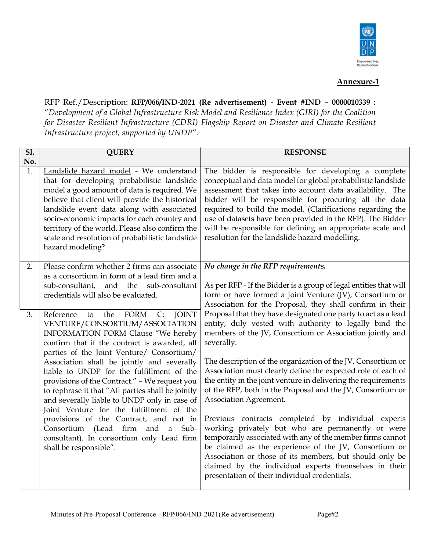

# Annexure-1

RFP Ref./Description: RFP/066/IND-2021 (Re advertisement) - Event #IND – 0000010339 : "Development of a Global Infrastructure Risk Model and Resilience Index (GIRI) for the Coalition for Disaster Resilient Infrastructure (CDRI) Flagship Report on Disaster and Climate Resilient Infrastructure project, supported by UNDP".

| <b>S1.</b><br>No. | <b>QUERY</b>                                                                                                                                                                                                                                                                                                                                                                                                                                                                                                                                                                                                                                                                   | <b>RESPONSE</b>                                                                                                                                                                                                                                                                                                                                                                                                                                                                                                                                                                                                                                                                                                                                                                                                                                                                                    |
|-------------------|--------------------------------------------------------------------------------------------------------------------------------------------------------------------------------------------------------------------------------------------------------------------------------------------------------------------------------------------------------------------------------------------------------------------------------------------------------------------------------------------------------------------------------------------------------------------------------------------------------------------------------------------------------------------------------|----------------------------------------------------------------------------------------------------------------------------------------------------------------------------------------------------------------------------------------------------------------------------------------------------------------------------------------------------------------------------------------------------------------------------------------------------------------------------------------------------------------------------------------------------------------------------------------------------------------------------------------------------------------------------------------------------------------------------------------------------------------------------------------------------------------------------------------------------------------------------------------------------|
| 1.                | Landslide hazard model - We understand<br>that for developing probabilistic landslide<br>model a good amount of data is required. We<br>believe that client will provide the historical<br>landslide event data along with associated<br>socio-economic impacts for each country and<br>territory of the world. Please also confirm the<br>scale and resolution of probabilistic landslide<br>hazard modeling?                                                                                                                                                                                                                                                                 | The bidder is responsible for developing a complete<br>conceptual and data model for global probabilistic landslide<br>assessment that takes into account data availability. The<br>bidder will be responsible for procuring all the data<br>required to build the model. (Clarifications regarding the<br>use of datasets have been provided in the RFP). The Bidder<br>will be responsible for defining an appropriate scale and<br>resolution for the landslide hazard modelling.                                                                                                                                                                                                                                                                                                                                                                                                               |
| 2.                | Please confirm whether 2 firms can associate<br>as a consortium in form of a lead firm and a<br>sub-consultant,<br>and<br>the<br>sub-consultant<br>credentials will also be evaluated.                                                                                                                                                                                                                                                                                                                                                                                                                                                                                         | No change in the RFP requirements.<br>As per RFP - If the Bidder is a group of legal entities that will<br>form or have formed a Joint Venture (JV), Consortium or<br>Association for the Proposal, they shall confirm in their                                                                                                                                                                                                                                                                                                                                                                                                                                                                                                                                                                                                                                                                    |
| 3.                | <b>JOINT</b><br>Reference<br>the<br>FORM<br>C:<br>to<br>VENTURE/CONSORTIUM/ASSOCIATION<br>INFORMATION FORM Clause "We hereby<br>confirm that if the contract is awarded, all<br>parties of the Joint Venture/ Consortium/<br>Association shall be jointly and severally<br>liable to UNDP for the fulfillment of the<br>provisions of the Contract." - We request you<br>to rephrase it that "All parties shall be jointly<br>and severally liable to UNDP only in case of<br>Joint Venture for the fulfillment of the<br>provisions of the Contract, and not in<br>and a Sub-<br>Consortium (Lead firm<br>consultant). In consortium only Lead firm<br>shall be responsible". | Proposal that they have designated one party to act as a lead<br>entity, duly vested with authority to legally bind the<br>members of the JV, Consortium or Association jointly and<br>severally.<br>The description of the organization of the JV, Consortium or<br>Association must clearly define the expected role of each of<br>the entity in the joint venture in delivering the requirements<br>of the RFP, both in the Proposal and the JV, Consortium or<br>Association Agreement.<br>Previous contracts completed by individual experts<br>working privately but who are permanently or were<br>temporarily associated with any of the member firms cannot<br>be claimed as the experience of the JV, Consortium or<br>Association or those of its members, but should only be<br>claimed by the individual experts themselves in their<br>presentation of their individual credentials. |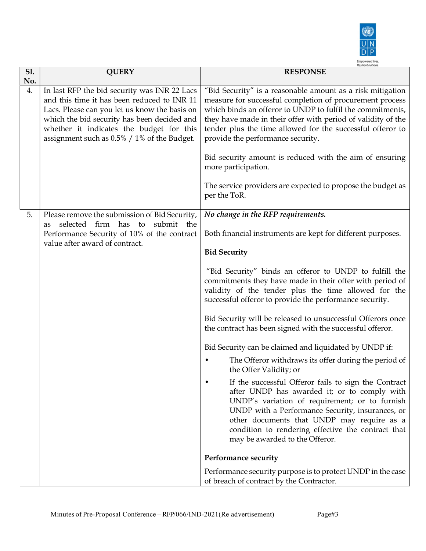

|                   |                                                                                                                                                                                                                                                                                        | <b>Resilient nations</b><br><b>RESPONSE</b>                                                                                                                                                                                                                                                                                                                                                                                                                                                                             |
|-------------------|----------------------------------------------------------------------------------------------------------------------------------------------------------------------------------------------------------------------------------------------------------------------------------------|-------------------------------------------------------------------------------------------------------------------------------------------------------------------------------------------------------------------------------------------------------------------------------------------------------------------------------------------------------------------------------------------------------------------------------------------------------------------------------------------------------------------------|
| <b>S1.</b><br>No. | <b>QUERY</b>                                                                                                                                                                                                                                                                           |                                                                                                                                                                                                                                                                                                                                                                                                                                                                                                                         |
| 4.                | In last RFP the bid security was INR 22 Lacs<br>and this time it has been reduced to INR 11<br>Lacs. Please can you let us know the basis on<br>which the bid security has been decided and<br>whether it indicates the budget for this<br>assignment such as 0.5% / 1% of the Budget. | "Bid Security" is a reasonable amount as a risk mitigation<br>measure for successful completion of procurement process<br>which binds an offeror to UNDP to fulfil the commitments,<br>they have made in their offer with period of validity of the<br>tender plus the time allowed for the successful offeror to<br>provide the performance security.<br>Bid security amount is reduced with the aim of ensuring<br>more participation.<br>The service providers are expected to propose the budget as<br>per the ToR. |
|                   |                                                                                                                                                                                                                                                                                        |                                                                                                                                                                                                                                                                                                                                                                                                                                                                                                                         |
| 5.                | Please remove the submission of Bid Security,<br>selected<br>firm has<br>submit<br>to<br>the<br>as<br>Performance Security of 10% of the contract<br>value after award of contract.                                                                                                    | No change in the RFP requirements.<br>Both financial instruments are kept for different purposes.                                                                                                                                                                                                                                                                                                                                                                                                                       |
|                   |                                                                                                                                                                                                                                                                                        | <b>Bid Security</b>                                                                                                                                                                                                                                                                                                                                                                                                                                                                                                     |
|                   |                                                                                                                                                                                                                                                                                        | "Bid Security" binds an offeror to UNDP to fulfill the<br>commitments they have made in their offer with period of<br>validity of the tender plus the time allowed for the<br>successful offeror to provide the performance security.                                                                                                                                                                                                                                                                                   |
|                   |                                                                                                                                                                                                                                                                                        | Bid Security will be released to unsuccessful Offerors once<br>the contract has been signed with the successful offeror.                                                                                                                                                                                                                                                                                                                                                                                                |
|                   |                                                                                                                                                                                                                                                                                        | Bid Security can be claimed and liquidated by UNDP if:                                                                                                                                                                                                                                                                                                                                                                                                                                                                  |
|                   |                                                                                                                                                                                                                                                                                        | The Offeror withdraws its offer during the period of<br>the Offer Validity; or                                                                                                                                                                                                                                                                                                                                                                                                                                          |
|                   |                                                                                                                                                                                                                                                                                        | If the successful Offeror fails to sign the Contract<br>after UNDP has awarded it; or to comply with<br>UNDP's variation of requirement; or to furnish<br>UNDP with a Performance Security, insurances, or<br>other documents that UNDP may require as a<br>condition to rendering effective the contract that<br>may be awarded to the Offeror.                                                                                                                                                                        |
|                   |                                                                                                                                                                                                                                                                                        | Performance security                                                                                                                                                                                                                                                                                                                                                                                                                                                                                                    |
|                   |                                                                                                                                                                                                                                                                                        | Performance security purpose is to protect UNDP in the case<br>of breach of contract by the Contractor.                                                                                                                                                                                                                                                                                                                                                                                                                 |